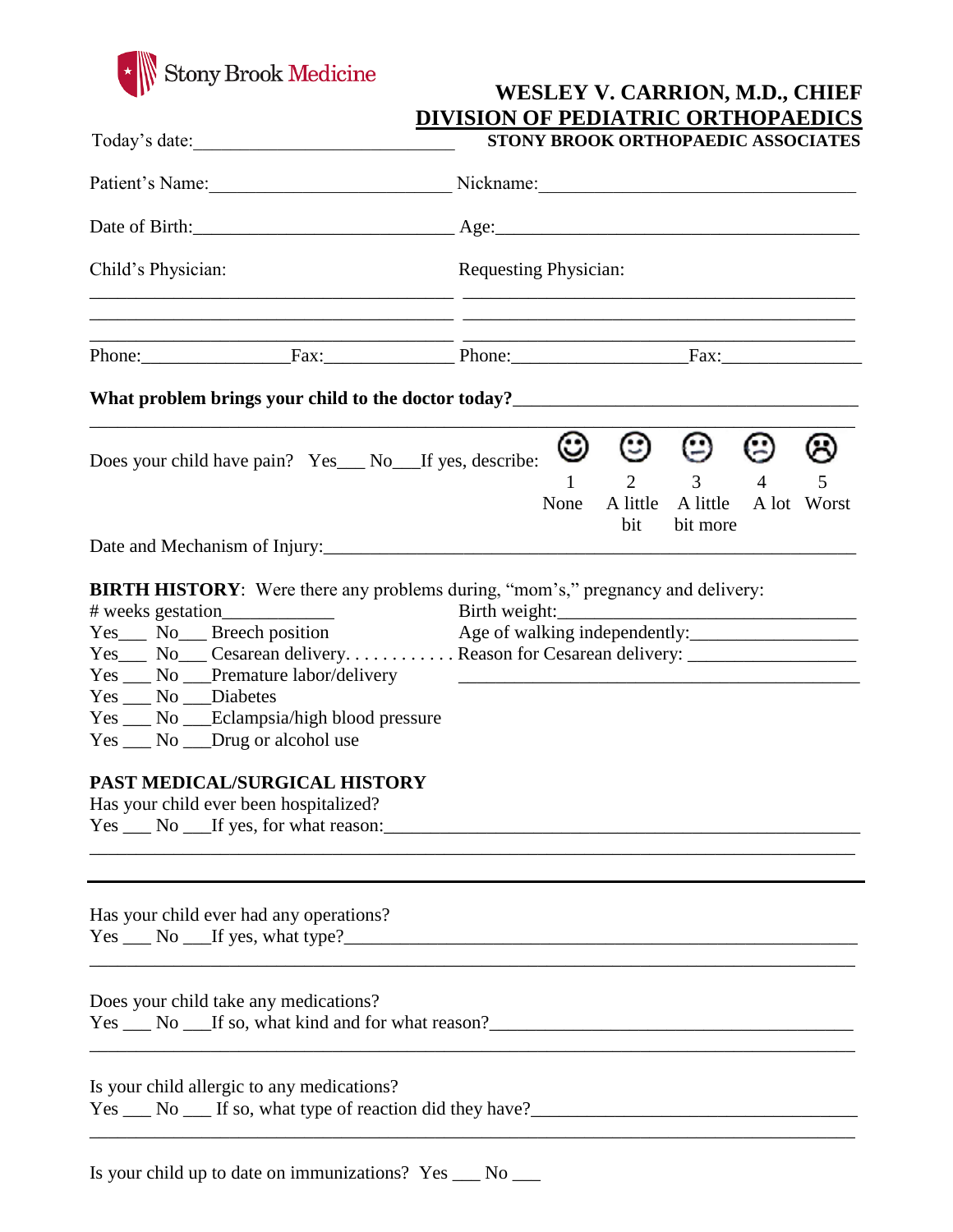

| <b>WESLEY V. CARRION, M.D., CHIEF</b>     |
|-------------------------------------------|
| <b>DIVISION OF PEDIATRIC ORTHOPAEDICS</b> |

| Today's date:                                                                                                                                                                                                                                                                                                                    | STONY BROOK ORTHOPAEDIC ASSOCIATES<br>Nickname: 1988 |                      |                                                  |                     |                       |
|----------------------------------------------------------------------------------------------------------------------------------------------------------------------------------------------------------------------------------------------------------------------------------------------------------------------------------|------------------------------------------------------|----------------------|--------------------------------------------------|---------------------|-----------------------|
| Patient's Name:                                                                                                                                                                                                                                                                                                                  |                                                      |                      |                                                  |                     |                       |
|                                                                                                                                                                                                                                                                                                                                  |                                                      |                      |                                                  |                     |                       |
| Child's Physician:                                                                                                                                                                                                                                                                                                               | <b>Requesting Physician:</b>                         |                      |                                                  |                     |                       |
| Phone: Fax: Phone: Fax: Phone: Fax:                                                                                                                                                                                                                                                                                              |                                                      |                      |                                                  |                     |                       |
|                                                                                                                                                                                                                                                                                                                                  |                                                      |                      |                                                  |                     |                       |
| Does your child have pain? Yes___ No___If yes, describe:                                                                                                                                                                                                                                                                         | ☺<br>$\mathbf{1}$<br>None                            | ☺<br>A little<br>bit | ☺<br>$2 \qquad \qquad 3$<br>A little<br>bit more | ☺<br>$\overline{4}$ | ⊌<br>5<br>A lot Worst |
| Date and Mechanism of Injury:<br><u>Letting</u> and Mechanism of Injury:<br><b>BIRTH HISTORY:</b> Were there any problems during, "mom's," pregnancy and delivery:                                                                                                                                                               |                                                      |                      |                                                  |                     |                       |
| Yes No Cesarean deliveryReason for Cesarean delivery:<br>Yes __ No __ Premature labor/delivery<br>Yes __ No __ Diabetes<br>Yes ___ No ___Eclampsia/high blood pressure<br>Yes ___ No ___Drug or alcohol use<br>PAST MEDICAL/SURGICAL HISTORY<br>Has your child ever been hospitalized?<br>Yes ___ No ___If yes, for what reason: |                                                      |                      |                                                  |                     |                       |
| Has your child ever had any operations?<br>$Yes \_\_ No \_\_ If yes, what type?$                                                                                                                                                                                                                                                 |                                                      |                      |                                                  |                     |                       |
| Does your child take any medications?                                                                                                                                                                                                                                                                                            |                                                      |                      |                                                  |                     |                       |
| <u> 1989 - Jan James James Barnett, fransk politik (d. 1989)</u><br>Is your child allergic to any medications?<br>Yes No If so, what type of reaction did they have?                                                                                                                                                             |                                                      |                      |                                                  |                     |                       |

Is your child up to date on immunizations? Yes \_\_\_ No \_\_\_